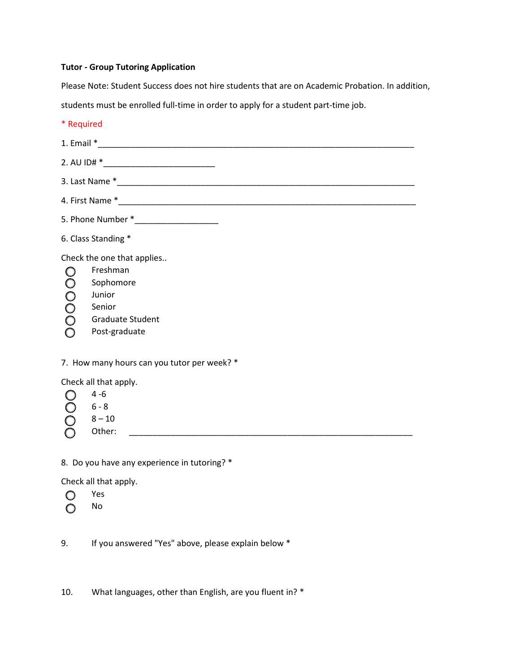# **Tutor - Group Tutoring Application**

Please Note: Student Success does not hire students that are on Academic Probation. In addition,

students must be enrolled full-time in order to apply for a student part-time job.

| * Required                                                                                                                          |  |  |  |
|-------------------------------------------------------------------------------------------------------------------------------------|--|--|--|
|                                                                                                                                     |  |  |  |
|                                                                                                                                     |  |  |  |
|                                                                                                                                     |  |  |  |
|                                                                                                                                     |  |  |  |
|                                                                                                                                     |  |  |  |
| 6. Class Standing *                                                                                                                 |  |  |  |
| Check the one that applies<br>Freshman<br>000000<br>Sophomore<br>Junior<br>Senior<br><b>Graduate Student</b><br>Post-graduate       |  |  |  |
| 7. How many hours can you tutor per week? *                                                                                         |  |  |  |
| Check all that apply.<br>$4 - 6$<br>0000<br>$6 - 8$<br>$8 - 10$<br>Other:<br><u> 1980 - Jan Barnett, fransk politiker (d. 1980)</u> |  |  |  |
| 8. Do you have any experience in tutoring? *                                                                                        |  |  |  |
| Check all that apply.<br>Yes<br>O                                                                                                   |  |  |  |

 $O$  No

9. If you answered "Yes" above, please explain below \*

10. What languages, other than English, are you fluent in? \*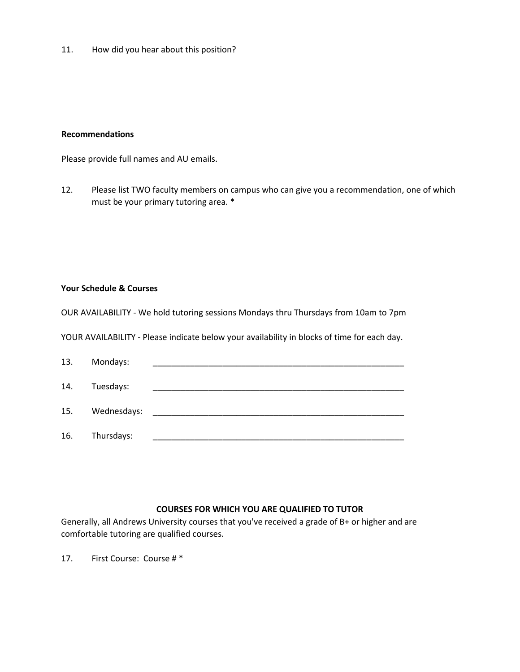11. How did you hear about this position?

#### **Recommendations**

Please provide full names and AU emails.

12. Please list TWO faculty members on campus who can give you a recommendation, one of which must be your primary tutoring area. \*

#### **Your Schedule & Courses**

OUR AVAILABILITY - We hold tutoring sessions Mondays thru Thursdays from 10am to 7pm

YOUR AVAILABILITY - Please indicate below your availability in blocks of time for each day.

| 13. | Mondays:    |  |
|-----|-------------|--|
| 14. | Tuesdays:   |  |
| 15. | Wednesdays: |  |
| 16. | Thursdays:  |  |

## **COURSES FOR WHICH YOU ARE QUALIFIED TO TUTOR**

Generally, all Andrews University courses that you've received a grade of B+ or higher and are comfortable tutoring are qualified courses.

17. First Course: Course # \*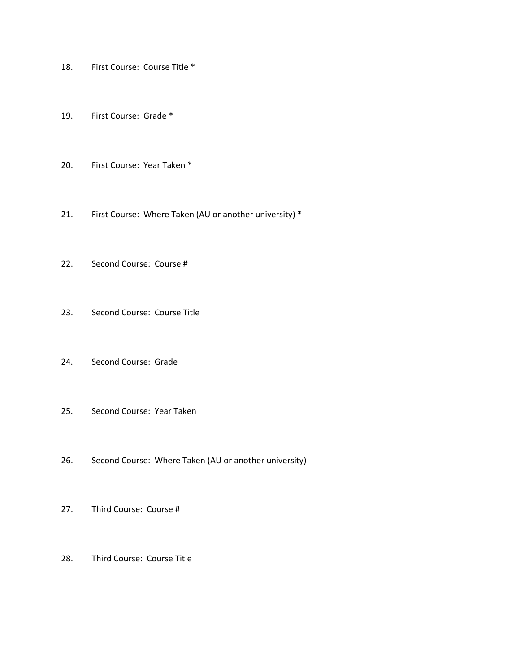- 18. First Course: Course Title \*
- 19. First Course: Grade \*
- 20. First Course: Year Taken \*
- 21. First Course: Where Taken (AU or another university) \*
- 22. Second Course: Course #
- 23. Second Course: Course Title
- 24. Second Course: Grade
- 25. Second Course: Year Taken
- 26. Second Course: Where Taken (AU or another university)
- 27. Third Course: Course #
- 28. Third Course: Course Title